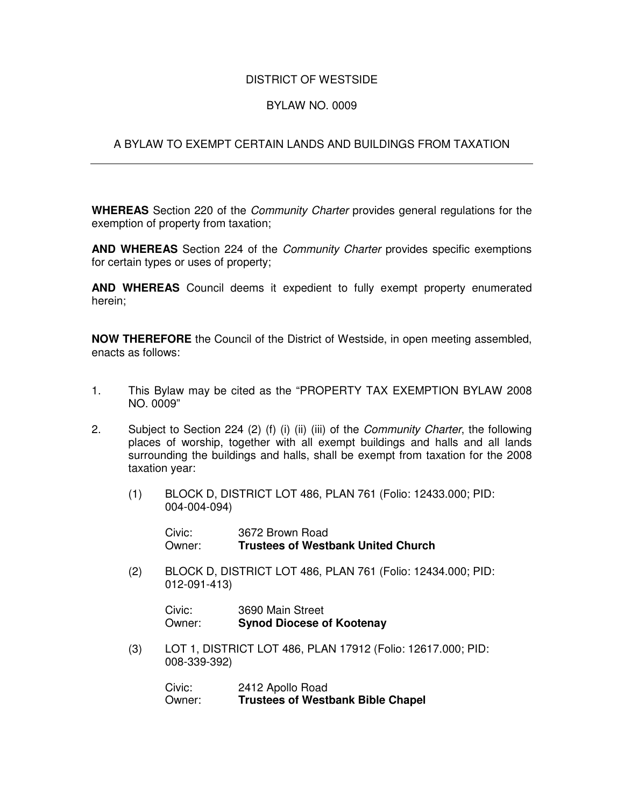## DISTRICT OF WESTSIDE

## BYLAW NO. 0009

## A BYLAW TO EXEMPT CERTAIN LANDS AND BUILDINGS FROM TAXATION

**WHEREAS** Section 220 of the *Community Charter* provides general regulations for the exemption of property from taxation;

**AND WHEREAS** Section 224 of the *Community Charter* provides specific exemptions for certain types or uses of property;

**AND WHEREAS** Council deems it expedient to fully exempt property enumerated herein;

**NOW THEREFORE** the Council of the District of Westside, in open meeting assembled, enacts as follows:

- 1. This Bylaw may be cited as the "PROPERTY TAX EXEMPTION BYLAW 2008 NO. 0009"
- 2. Subject to Section 224 (2) (f) (i) (ii) (iii) of the *Community Charter*, the following places of worship, together with all exempt buildings and halls and all lands surrounding the buildings and halls, shall be exempt from taxation for the 2008 taxation year:
	- (1) BLOCK D, DISTRICT LOT 486, PLAN 761 (Folio: 12433.000; PID: 004-004-094)

Civic: 3672 Brown Road Owner: **Trustees of Westbank United Church**

(2) BLOCK D, DISTRICT LOT 486, PLAN 761 (Folio: 12434.000; PID: 012-091-413)

Civic: 3690 Main Street Owner: **Synod Diocese of Kootenay**

(3) LOT 1, DISTRICT LOT 486, PLAN 17912 (Folio: 12617.000; PID: 008-339-392)

> Civic: 2412 Apollo Road<br>Owner: **Trustees of Westl Trustees of Westbank Bible Chapel**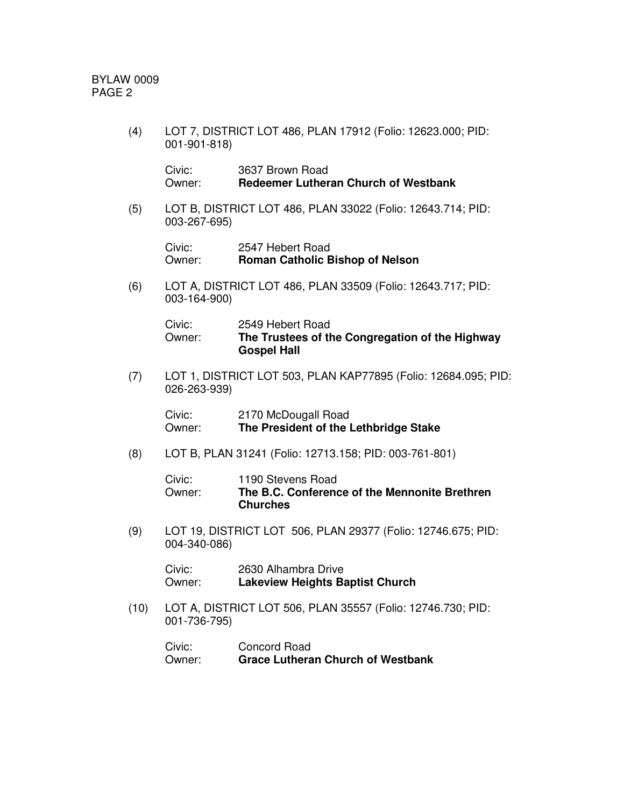BYLAW 0009 PAGE 2

> (4) LOT 7, DISTRICT LOT 486, PLAN 17912 (Folio: 12623.000; PID: 001-901-818)

Civic: 3637 Brown Road Owner: **Redeemer Lutheran Church of Westbank**

(5) LOT B, DISTRICT LOT 486, PLAN 33022 (Folio: 12643.714; PID: 003-267-695)

> Civic: 2547 Hebert Road Owner: **Roman Catholic Bishop of Nelson**

(6) LOT A, DISTRICT LOT 486, PLAN 33509 (Folio: 12643.717; PID: 003-164-900)

| Civic: | 2549 Hebert Road                                |
|--------|-------------------------------------------------|
| Owner: | The Trustees of the Congregation of the Highway |
|        | <b>Gospel Hall</b>                              |

(7) LOT 1, DISTRICT LOT 503, PLAN KAP77895 (Folio: 12684.095; PID: 026-263-939)

Civic: 2170 McDougall Road Owner: **The President of the Lethbridge Stake**

(8) LOT B, PLAN 31241 (Folio: 12713.158; PID: 003-761-801)

| Civic: | 1190 Stevens Road                             |
|--------|-----------------------------------------------|
| Owner: | The B.C. Conference of the Mennonite Brethren |
|        | <b>Churches</b>                               |

(9) LOT 19, DISTRICT LOT 506, PLAN 29377 (Folio: 12746.675; PID: 004-340-086)

Civic: 2630 Alhambra Drive Owner: **Lakeview Heights Baptist Church**

(10) LOT A, DISTRICT LOT 506, PLAN 35557 (Folio: 12746.730; PID: 001-736-795)

| Civic: | Concord Road                             |
|--------|------------------------------------------|
| Owner: | <b>Grace Lutheran Church of Westbank</b> |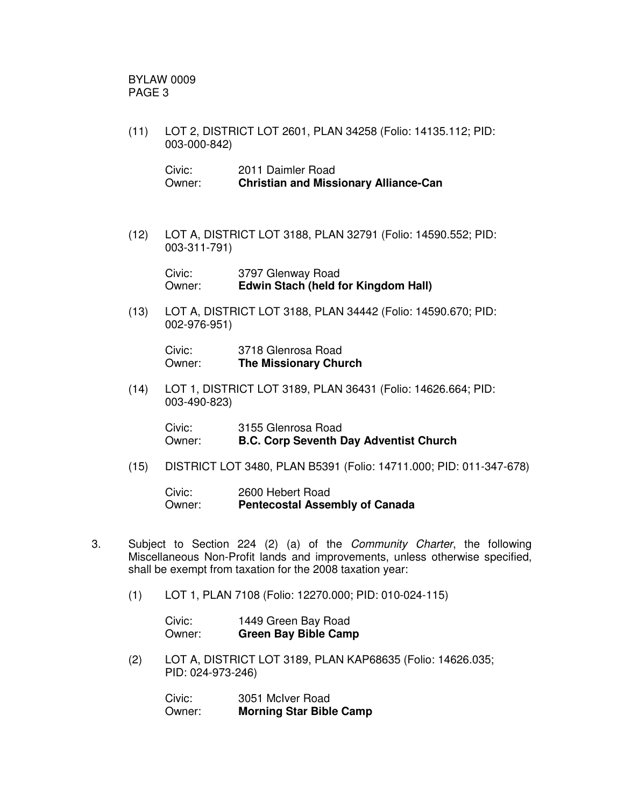BYLAW 0009 PAGE 3

(11) LOT 2, DISTRICT LOT 2601, PLAN 34258 (Folio: 14135.112; PID: 003-000-842)

| Civic: | 2011 Daimler Road                            |
|--------|----------------------------------------------|
| Owner: | <b>Christian and Missionary Alliance-Can</b> |

(12) LOT A, DISTRICT LOT 3188, PLAN 32791 (Folio: 14590.552; PID: 003-311-791)

> Civic: 3797 Glenway Road Owner: **Edwin Stach (held for Kingdom Hall)**

(13) LOT A, DISTRICT LOT 3188, PLAN 34442 (Folio: 14590.670; PID: 002-976-951)

Civic: 3718 Glenrosa Road Owner: **The Missionary Church**

(14) LOT 1, DISTRICT LOT 3189, PLAN 36431 (Folio: 14626.664; PID: 003-490-823)

| Civic: | 3155 Glenrosa Road                            |
|--------|-----------------------------------------------|
| Owner: | <b>B.C. Corp Seventh Day Adventist Church</b> |

(15) DISTRICT LOT 3480, PLAN B5391 (Folio: 14711.000; PID: 011-347-678)

Civic: 2600 Hebert Road Owner: **Pentecostal Assembly of Canada**

- 3. Subject to Section 224 (2) (a) of the *Community Charter*, the following Miscellaneous Non-Profit lands and improvements, unless otherwise specified, shall be exempt from taxation for the 2008 taxation year:
	- (1) LOT 1, PLAN 7108 (Folio: 12270.000; PID: 010-024-115)

| Civic: | 1449 Green Bay Road         |
|--------|-----------------------------|
| Owner: | <b>Green Bay Bible Camp</b> |

(2) LOT A, DISTRICT LOT 3189, PLAN KAP68635 (Folio: 14626.035; PID: 024-973-246)

Civic: 3051 McIver Road Owner: **Morning Star Bible Camp**